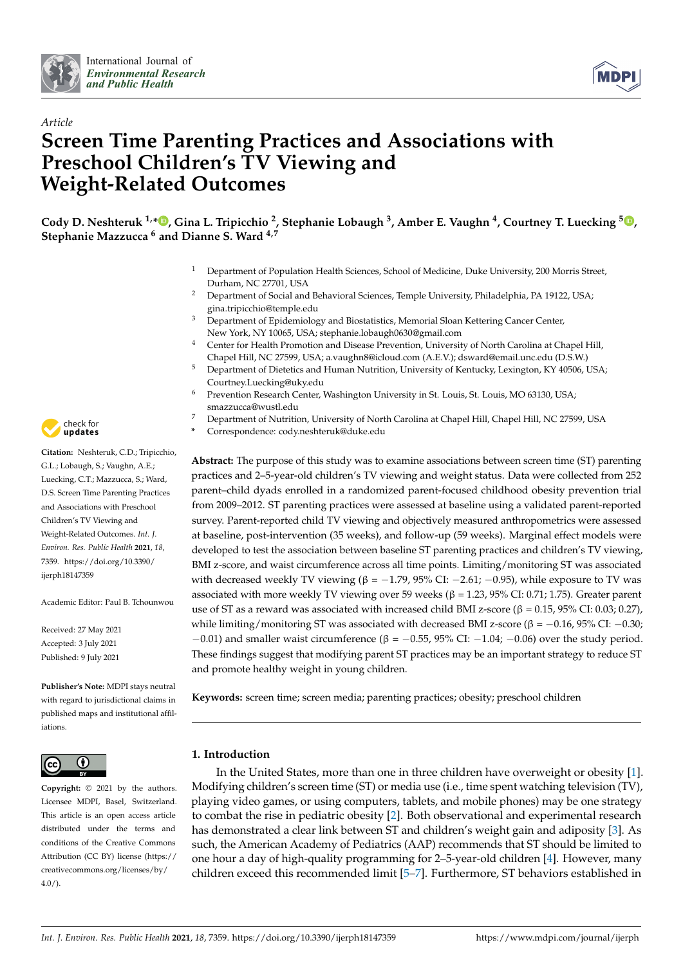



# *Article* **Screen Time Parenting Practices and Associations with Preschool Children's TV Viewing and Weight-Related Outcomes**

**Cody D. Neshteruk 1,\* [,](https://orcid.org/0000-0002-0516-6873) Gina L. Tripicchio <sup>2</sup> , Stephanie Lobaugh <sup>3</sup> , Amber E. Vaughn <sup>4</sup> , Courtney T. Luecking <sup>5</sup> [,](https://orcid.org/0000-0002-6897-9337) Stephanie Mazzucca <sup>6</sup> and Dianne S. Ward 4,7**

- <sup>1</sup> Department of Population Health Sciences, School of Medicine, Duke University, 200 Morris Street, Durham, NC 27701, USA
- <sup>2</sup> Department of Social and Behavioral Sciences, Temple University, Philadelphia, PA 19122, USA; gina.tripicchio@temple.edu
- <sup>3</sup> Department of Epidemiology and Biostatistics, Memorial Sloan Kettering Cancer Center, New York, NY 10065, USA; stephanie.lobaugh0630@gmail.com
- <sup>4</sup> Center for Health Promotion and Disease Prevention, University of North Carolina at Chapel Hill, Chapel Hill, NC 27599, USA; a.vaughn8@icloud.com (A.E.V.); dsward@email.unc.edu (D.S.W.)
- <sup>5</sup> Department of Dietetics and Human Nutrition, University of Kentucky, Lexington, KY 40506, USA; Courtney.Luecking@uky.edu
- Prevention Research Center, Washington University in St. Louis, St. Louis, MO 63130, USA; smazzucca@wustl.edu
- <sup>7</sup> Department of Nutrition, University of North Carolina at Chapel Hill, Chapel Hill, NC 27599, USA
	- **\*** Correspondence: cody.neshteruk@duke.edu

**Abstract:** The purpose of this study was to examine associations between screen time (ST) parenting practices and 2–5-year-old children's TV viewing and weight status. Data were collected from 252 parent–child dyads enrolled in a randomized parent-focused childhood obesity prevention trial from 2009–2012. ST parenting practices were assessed at baseline using a validated parent-reported survey. Parent-reported child TV viewing and objectively measured anthropometrics were assessed at baseline, post-intervention (35 weeks), and follow-up (59 weeks). Marginal effect models were developed to test the association between baseline ST parenting practices and children's TV viewing, BMI z-score, and waist circumference across all time points. Limiting/monitoring ST was associated with decreased weekly TV viewing ( $β = -1.79$ ,  $95\%$  CI:  $-2.61$ ;  $-0.95$ ), while exposure to TV was associated with more weekly TV viewing over 59 weeks ( $β = 1.23$ , 95% CI: 0.71; 1.75). Greater parent use of ST as a reward was associated with increased child BMI z-score ( $\beta = 0.15$ , 95% CI: 0.03; 0.27), while limiting/monitoring ST was associated with decreased BMI z-score (β =  $-0.16$ , 95% CI:  $-0.30$ ;  $-0.01$ ) and smaller waist circumference ( $\beta = -0.55$ , 95% CI:  $-1.04$ ;  $-0.06$ ) over the study period. These findings suggest that modifying parent ST practices may be an important strategy to reduce ST and promote healthy weight in young children.

**Keywords:** screen time; screen media; parenting practices; obesity; preschool children

## **1. Introduction**

In the United States, more than one in three children have overweight or obesity [\[1\]](#page-7-0). Modifying children's screen time (ST) or media use (i.e., time spent watching television (TV), playing video games, or using computers, tablets, and mobile phones) may be one strategy to combat the rise in pediatric obesity [\[2\]](#page-7-1). Both observational and experimental research has demonstrated a clear link between ST and children's weight gain and adiposity [\[3\]](#page-7-2). As such, the American Academy of Pediatrics (AAP) recommends that ST should be limited to one hour a day of high-quality programming for 2–5-year-old children [\[4\]](#page-7-3). However, many children exceed this recommended limit [\[5](#page-7-4)[–7\]](#page-7-5). Furthermore, ST behaviors established in



**Citation:** Neshteruk, C.D.; Tripicchio, G.L.; Lobaugh, S.; Vaughn, A.E.; Luecking, C.T.; Mazzucca, S.; Ward, D.S. Screen Time Parenting Practices and Associations with Preschool Children's TV Viewing and Weight-Related Outcomes. *Int. J. Environ. Res. Public Health* **2021**, *18*, 7359. [https://doi.org/10.3390/](https://doi.org/10.3390/ijerph18147359) [ijerph18147359](https://doi.org/10.3390/ijerph18147359)

Academic Editor: Paul B. Tchounwou

Received: 27 May 2021 Accepted: 3 July 2021 Published: 9 July 2021

**Publisher's Note:** MDPI stays neutral with regard to jurisdictional claims in published maps and institutional affiliations.



**Copyright:** © 2021 by the authors. Licensee MDPI, Basel, Switzerland. This article is an open access article distributed under the terms and conditions of the Creative Commons Attribution (CC BY) license (https:/[/](https://creativecommons.org/licenses/by/4.0/) [creativecommons.org/licenses/by/](https://creativecommons.org/licenses/by/4.0/) 4.0/).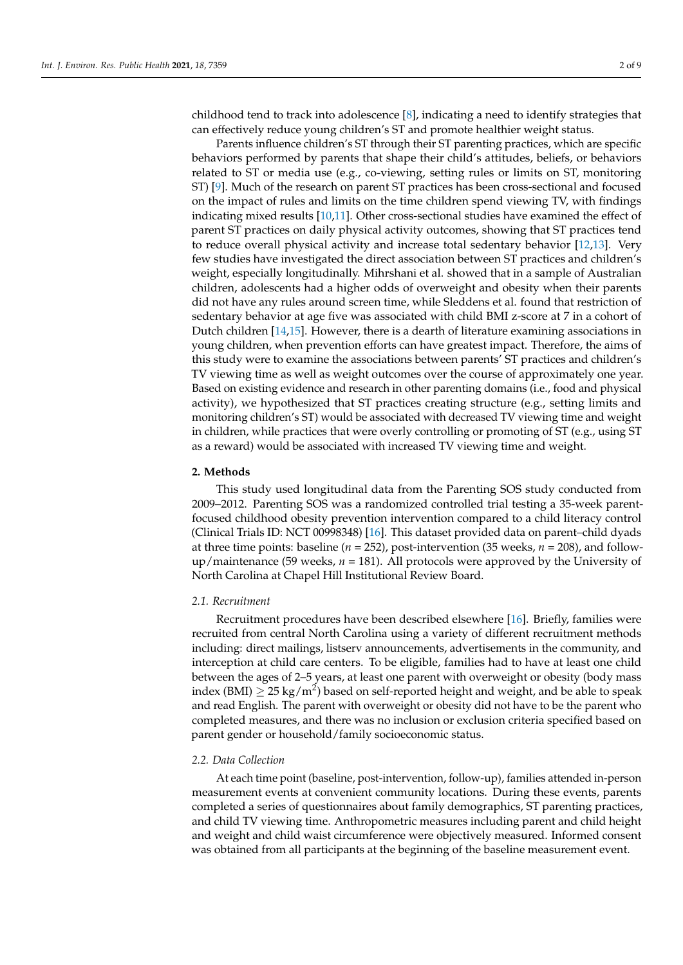childhood tend to track into adolescence [\[8\]](#page-7-6), indicating a need to identify strategies that can effectively reduce young children's ST and promote healthier weight status.

Parents influence children's ST through their ST parenting practices, which are specific behaviors performed by parents that shape their child's attitudes, beliefs, or behaviors related to ST or media use (e.g., co-viewing, setting rules or limits on ST, monitoring ST) [\[9\]](#page-7-7). Much of the research on parent ST practices has been cross-sectional and focused on the impact of rules and limits on the time children spend viewing TV, with findings indicating mixed results [\[10,](#page-7-8)[11\]](#page-7-9). Other cross-sectional studies have examined the effect of parent ST practices on daily physical activity outcomes, showing that ST practices tend to reduce overall physical activity and increase total sedentary behavior [\[12](#page-7-10)[,13\]](#page-7-11). Very few studies have investigated the direct association between ST practices and children's weight, especially longitudinally. Mihrshani et al. showed that in a sample of Australian children, adolescents had a higher odds of overweight and obesity when their parents did not have any rules around screen time, while Sleddens et al. found that restriction of sedentary behavior at age five was associated with child BMI z-score at 7 in a cohort of Dutch children [\[14,](#page-8-0)[15\]](#page-8-1). However, there is a dearth of literature examining associations in young children, when prevention efforts can have greatest impact. Therefore, the aims of this study were to examine the associations between parents' ST practices and children's TV viewing time as well as weight outcomes over the course of approximately one year. Based on existing evidence and research in other parenting domains (i.e., food and physical activity), we hypothesized that ST practices creating structure (e.g., setting limits and monitoring children's ST) would be associated with decreased TV viewing time and weight in children, while practices that were overly controlling or promoting of ST (e.g., using ST as a reward) would be associated with increased TV viewing time and weight.

## **2. Methods**

This study used longitudinal data from the Parenting SOS study conducted from 2009–2012. Parenting SOS was a randomized controlled trial testing a 35-week parentfocused childhood obesity prevention intervention compared to a child literacy control (Clinical Trials ID: NCT 00998348) [\[16\]](#page-8-2). This dataset provided data on parent–child dyads at three time points: baseline ( $n = 252$ ), post-intervention (35 weeks,  $n = 208$ ), and followup/maintenance (59 weeks, *n* = 181). All protocols were approved by the University of North Carolina at Chapel Hill Institutional Review Board.

## *2.1. Recruitment*

Recruitment procedures have been described elsewhere [\[16\]](#page-8-2). Briefly, families were recruited from central North Carolina using a variety of different recruitment methods including: direct mailings, listserv announcements, advertisements in the community, and interception at child care centers. To be eligible, families had to have at least one child between the ages of 2–5 years, at least one parent with overweight or obesity (body mass index (BMI)  $\geq$  25 kg/m<sup>2</sup>) based on self-reported height and weight, and be able to speak and read English. The parent with overweight or obesity did not have to be the parent who completed measures, and there was no inclusion or exclusion criteria specified based on parent gender or household/family socioeconomic status.

## *2.2. Data Collection*

At each time point (baseline, post-intervention, follow-up), families attended in-person measurement events at convenient community locations. During these events, parents completed a series of questionnaires about family demographics, ST parenting practices, and child TV viewing time. Anthropometric measures including parent and child height and weight and child waist circumference were objectively measured. Informed consent was obtained from all participants at the beginning of the baseline measurement event.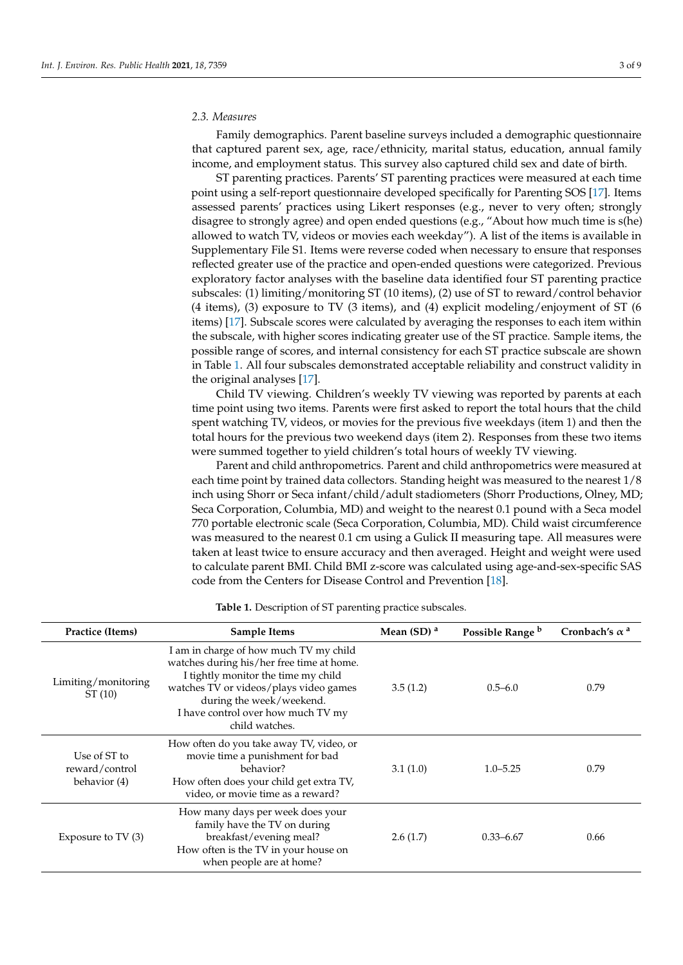## *2.3. Measures*

Family demographics. Parent baseline surveys included a demographic questionnaire that captured parent sex, age, race/ethnicity, marital status, education, annual family income, and employment status. This survey also captured child sex and date of birth.

ST parenting practices. Parents' ST parenting practices were measured at each time point using a self-report questionnaire developed specifically for Parenting SOS [\[17\]](#page-8-3). Items assessed parents' practices using Likert responses (e.g., never to very often; strongly disagree to strongly agree) and open ended questions (e.g., "About how much time is s(he) allowed to watch TV, videos or movies each weekday"). A list of the items is available in Supplementary File S1. Items were reverse coded when necessary to ensure that responses reflected greater use of the practice and open-ended questions were categorized. Previous exploratory factor analyses with the baseline data identified four ST parenting practice subscales: (1) limiting/monitoring ST (10 items), (2) use of ST to reward/control behavior (4 items), (3) exposure to TV (3 items), and (4) explicit modeling/enjoyment of ST (6 items) [\[17\]](#page-8-3). Subscale scores were calculated by averaging the responses to each item within the subscale, with higher scores indicating greater use of the ST practice. Sample items, the possible range of scores, and internal consistency for each ST practice subscale are shown in Table [1.](#page-3-0) All four subscales demonstrated acceptable reliability and construct validity in the original analyses [\[17\]](#page-8-3).

Child TV viewing. Children's weekly TV viewing was reported by parents at each time point using two items. Parents were first asked to report the total hours that the child spent watching TV, videos, or movies for the previous five weekdays (item 1) and then the total hours for the previous two weekend days (item 2). Responses from these two items were summed together to yield children's total hours of weekly TV viewing.

Parent and child anthropometrics. Parent and child anthropometrics were measured at each time point by trained data collectors. Standing height was measured to the nearest 1/8 inch using Shorr or Seca infant/child/adult stadiometers (Shorr Productions, Olney, MD; Seca Corporation, Columbia, MD) and weight to the nearest 0.1 pound with a Seca model 770 portable electronic scale (Seca Corporation, Columbia, MD). Child waist circumference was measured to the nearest 0.1 cm using a Gulick II measuring tape. All measures were taken at least twice to ensure accuracy and then averaged. Height and weight were used to calculate parent BMI. Child BMI z-score was calculated using age-and-sex-specific SAS code from the Centers for Disease Control and Prevention [\[18\]](#page-8-4).

| Practice (Items)                               | <b>Sample Items</b>                                                                                                                                                                                                                                      | Mean $(SD)$ <sup>a</sup> | Possible Range b | Cronbach's $\alpha^a$ |
|------------------------------------------------|----------------------------------------------------------------------------------------------------------------------------------------------------------------------------------------------------------------------------------------------------------|--------------------------|------------------|-----------------------|
| Limiting/monitoring<br>ST(10)                  | I am in charge of how much TV my child<br>watches during his/her free time at home.<br>I tightly monitor the time my child<br>watches TV or videos/plays video games<br>during the week/weekend.<br>I have control over how much TV my<br>child watches. | 3.5(1.2)                 | $0.5 - 6.0$      | 0.79                  |
| Use of ST to<br>reward/control<br>behavior (4) | How often do you take away TV, video, or<br>movie time a punishment for bad<br>behavior?<br>How often does your child get extra TV,<br>video, or movie time as a reward?                                                                                 | 3.1(1.0)                 | $1.0 - 5.25$     | 0.79                  |
| Exposure to $TV(3)$                            | How many days per week does your<br>family have the TV on during<br>breakfast/evening meal?<br>How often is the TV in your house on<br>when people are at home?                                                                                          | 2.6(1.7)                 | $0.33 - 6.67$    | 0.66                  |

**Table 1.** Description of ST parenting practice subscales.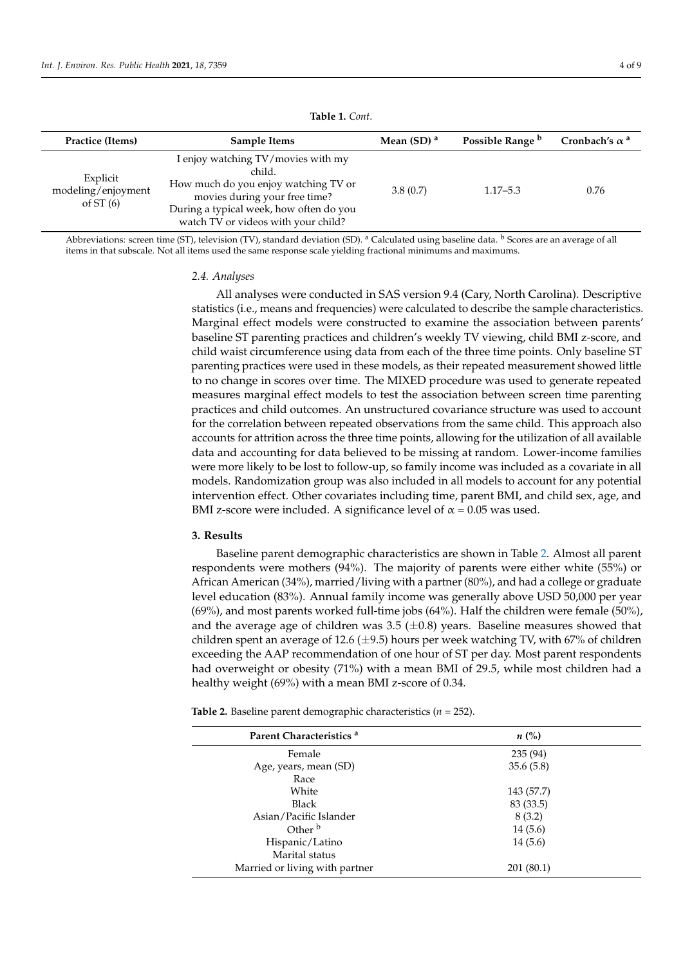<span id="page-3-0"></span>

| Practice (Items)                              | Sample Items                                                                                                                                                                                            | Mean $(SD)$ <sup>a</sup> | Possible Range b | Cronbach's $\alpha^a$ |
|-----------------------------------------------|---------------------------------------------------------------------------------------------------------------------------------------------------------------------------------------------------------|--------------------------|------------------|-----------------------|
| Explicit<br>modeling/enjoyment<br>of ST $(6)$ | I enjoy watching TV/movies with my<br>child.<br>How much do you enjoy watching TV or<br>movies during your free time?<br>During a typical week, how often do you<br>watch TV or videos with your child? | 3.8(0.7)                 | $1.17 - 5.3$     | 0.76                  |

**Table 1.** *Cont*.

Abbreviations: screen time (ST), television (TV), standard deviation (SD). <sup>a</sup> Calculated using baseline data. <sup>b</sup> Scores are an average of all items in that subscale. Not all items used the same response scale yielding fractional minimums and maximums.

#### *2.4. Analyses*

All analyses were conducted in SAS version 9.4 (Cary, North Carolina). Descriptive statistics (i.e., means and frequencies) were calculated to describe the sample characteristics. Marginal effect models were constructed to examine the association between parents' baseline ST parenting practices and children's weekly TV viewing, child BMI z-score, and child waist circumference using data from each of the three time points. Only baseline ST parenting practices were used in these models, as their repeated measurement showed little to no change in scores over time. The MIXED procedure was used to generate repeated measures marginal effect models to test the association between screen time parenting practices and child outcomes. An unstructured covariance structure was used to account for the correlation between repeated observations from the same child. This approach also accounts for attrition across the three time points, allowing for the utilization of all available data and accounting for data believed to be missing at random. Lower-income families were more likely to be lost to follow-up, so family income was included as a covariate in all models. Randomization group was also included in all models to account for any potential intervention effect. Other covariates including time, parent BMI, and child sex, age, and BMI z-score were included. A significance level of  $\alpha = 0.05$  was used.

## **3. Results**

Baseline parent demographic characteristics are shown in Table [2.](#page-4-0) Almost all parent respondents were mothers (94%). The majority of parents were either white (55%) or African American (34%), married/living with a partner (80%), and had a college or graduate level education (83%). Annual family income was generally above USD 50,000 per year (69%), and most parents worked full-time jobs (64%). Half the children were female (50%), and the average age of children was  $3.5$  ( $\pm 0.8$ ) years. Baseline measures showed that children spent an average of 12.6 ( $\pm$ 9.5) hours per week watching TV, with 67% of children exceeding the AAP recommendation of one hour of ST per day. Most parent respondents had overweight or obesity (71%) with a mean BMI of 29.5, while most children had a healthy weight (69%) with a mean BMI z-score of 0.34.

**Table 2.** Baseline parent demographic characteristics (*n* = 252).

| Parent Characteristics <sup>a</sup> | $n\ (\%)$  |  |
|-------------------------------------|------------|--|
| Female                              | 235 (94)   |  |
| Age, years, mean (SD)               | 35.6(5.8)  |  |
| Race                                |            |  |
| White                               | 143 (57.7) |  |
| Black                               | 83 (33.5)  |  |
| Asian/Pacific Islander              | 8(3.2)     |  |
| Other <sup>b</sup>                  | 14(5.6)    |  |
| Hispanic/Latino                     | 14(5.6)    |  |
| Marital status                      |            |  |
| Married or living with partner      | 201 (80.1) |  |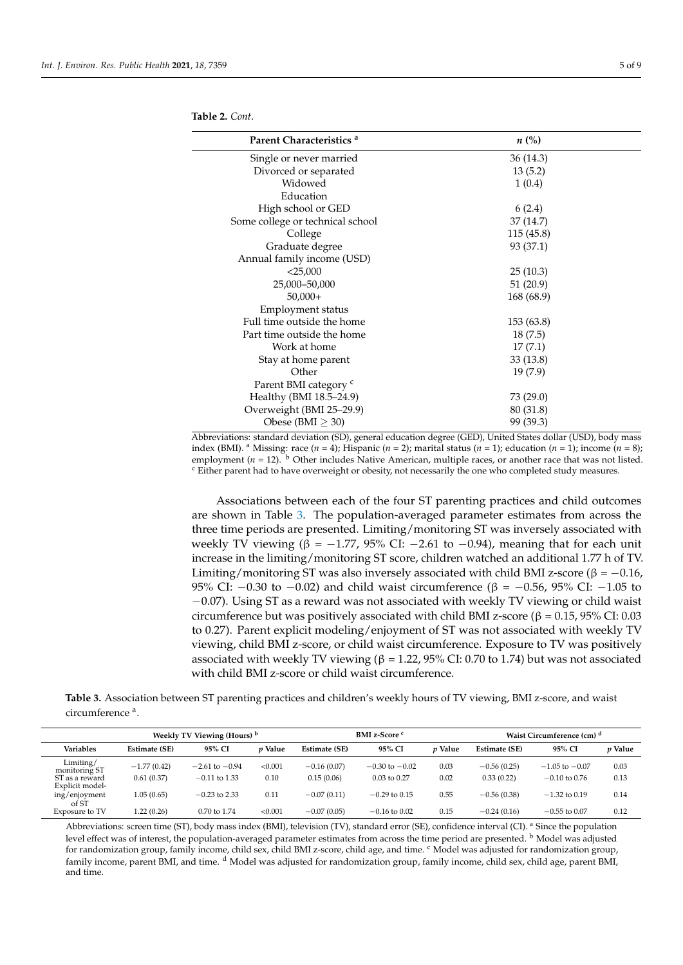| Parent Characteristics <sup>a</sup> | $n\ (\%)$  |  |
|-------------------------------------|------------|--|
| Single or never married             | 36(14.3)   |  |
| Divorced or separated               | 13(5.2)    |  |
| Widowed                             | 1(0.4)     |  |
| Education                           |            |  |
| High school or GED                  | 6(2.4)     |  |
| Some college or technical school    | 37(14.7)   |  |
| College                             | 115 (45.8) |  |
| Graduate degree                     | 93 (37.1)  |  |
| Annual family income (USD)          |            |  |
| $<$ 25,000                          | 25(10.3)   |  |
| 25,000 - 50,000                     | 51(20.9)   |  |
| $50,000+$                           | 168 (68.9) |  |
| Employment status                   |            |  |
| Full time outside the home          | 153 (63.8) |  |
| Part time outside the home          | 18(7.5)    |  |
| Work at home                        | 17(7.1)    |  |
| Stay at home parent                 | 33(13.8)   |  |
| Other                               | 19(7.9)    |  |
| Parent BMI category <sup>c</sup>    |            |  |
| Healthy (BMI 18.5-24.9)             | 73 (29.0)  |  |
| Overweight (BMI 25-29.9)            | 80 (31.8)  |  |
| Obese (BMI $\geq$ 30)               | 99 (39.3)  |  |
|                                     |            |  |

<span id="page-4-0"></span>**Table 2.** *Cont*.

Abbreviations: standard deviation (SD), general education degree (GED), United States dollar (USD), body mass index (BMI). <sup>a</sup> Missing: race (*n* = 4); Hispanic (*n* = 2); marital status (*n* = 1); education (*n* = 1); income (*n* = 8); employment ( $n = 12$ ).  $\overline{b}$  Other includes Native American, multiple races, or another race that was not listed. <sup>c</sup> Either parent had to have overweight or obesity, not necessarily the one who completed study measures.

Associations between each of the four ST parenting practices and child outcomes are shown in Table [3.](#page-4-1) The population-averaged parameter estimates from across the three time periods are presented. Limiting/monitoring ST was inversely associated with weekly TV viewing (β = -1.77, 95% CI: -2.61 to -0.94), meaning that for each unit increase in the limiting/monitoring ST score, children watched an additional 1.77 h of TV. Limiting/monitoring ST was also inversely associated with child BMI z-score ( $\beta = -0.16$ , 95% CI: −0.30 to −0.02) and child waist circumference ( $β = -0.56$ , 95% CI: −1.05 to −0.07). Using ST as a reward was not associated with weekly TV viewing or child waist circumference but was positively associated with child BMI z-score ( $\beta = 0.15$ , 95% CI: 0.03 to 0.27). Parent explicit modeling/enjoyment of ST was not associated with weekly TV viewing, child BMI z-score, or child waist circumference. Exposure to TV was positively associated with weekly TV viewing ( $\beta$  = 1.22, 95% CI: 0.70 to 1.74) but was not associated with child BMI z-score or child waist circumference.

<span id="page-4-1"></span>**Table 3.** Association between ST parenting practices and children's weekly hours of TV viewing, BMI z-score, and waist circumference<sup>a</sup>.

|                                   | Weekly TV Viewing (Hours) <sup>b</sup> |                    |                | BMI z-Score <sup>c</sup> |                    |                | Waist Circumference (cm) <sup>d</sup> |                    |         |
|-----------------------------------|----------------------------------------|--------------------|----------------|--------------------------|--------------------|----------------|---------------------------------------|--------------------|---------|
| <b>Variables</b>                  | Estimate (SE)                          | 95% CI             | <i>v</i> Value | Estimate (SE)            | 95% CI             | <i>v</i> Value | Estimate (SE)                         | 95% CI             | p Value |
| Limiting/<br>monitoring ST        | $-1.77(0.42)$                          | $-2.61$ to $-0.94$ | < 0.001        | $-0.16(0.07)$            | $-0.30$ to $-0.02$ | 0.03           | $-0.56(0.25)$                         | $-1.05$ to $-0.07$ | 0.03    |
| ST as a reward<br>Explicit model- | 0.61(0.37)                             | $-0.11$ to 1.33    | 0.10           | 0.15(0.06)               | $0.03$ to $0.27$   | 0.02           | 0.33(0.22)                            | $-0.10$ to $0.76$  | 0.13    |
| ing/enjoyment<br>of ST            | 1.05 (0.65)                            | $-0.23$ to 2.33    | 0.11           | $-0.07(0.11)$            | $-0.29$ to 0.15    | 0.55           | $-0.56(0.38)$                         | $-1.32$ to 0.19    | 0.14    |
| Exposure to TV                    | 1.22 (0.26)                            | 0.70 to 1.74       | < 0.001        | $-0.07(0.05)$            | $-0.16$ to 0.02    | 0.15           | $-0.24(0.16)$                         | $-0.55$ to 0.07    | 0.12    |

Abbreviations: screen time (ST), body mass index (BMI), television (TV), standard error (SE), confidence interval (CI). <sup>a</sup> Since the population level effect was of interest, the population-averaged parameter estimates from across the time period are presented. <sup>b</sup> Model was adjusted for randomization group, family income, child sex, child BMI z-score, child age, and time. C Model was adjusted for randomization group, family income, parent BMI, and time. d Model was adjusted for randomization group, family income, child sex, child age, parent BMI, and time.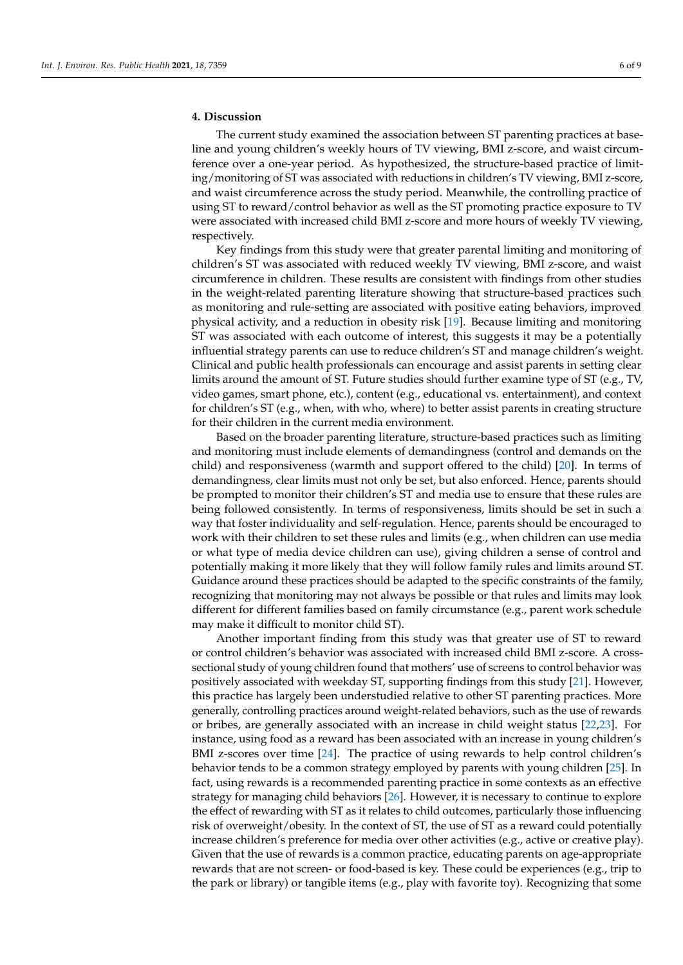## **4. Discussion**

The current study examined the association between ST parenting practices at baseline and young children's weekly hours of TV viewing, BMI z-score, and waist circumference over a one-year period. As hypothesized, the structure-based practice of limiting/monitoring of ST was associated with reductions in children's TV viewing, BMI z-score, and waist circumference across the study period. Meanwhile, the controlling practice of using ST to reward/control behavior as well as the ST promoting practice exposure to TV were associated with increased child BMI z-score and more hours of weekly TV viewing, respectively.

Key findings from this study were that greater parental limiting and monitoring of children's ST was associated with reduced weekly TV viewing, BMI z-score, and waist circumference in children. These results are consistent with findings from other studies in the weight-related parenting literature showing that structure-based practices such as monitoring and rule-setting are associated with positive eating behaviors, improved physical activity, and a reduction in obesity risk [\[19\]](#page-8-5). Because limiting and monitoring ST was associated with each outcome of interest, this suggests it may be a potentially influential strategy parents can use to reduce children's ST and manage children's weight. Clinical and public health professionals can encourage and assist parents in setting clear limits around the amount of ST. Future studies should further examine type of ST (e.g., TV, video games, smart phone, etc.), content (e.g., educational vs. entertainment), and context for children's ST (e.g., when, with who, where) to better assist parents in creating structure for their children in the current media environment.

Based on the broader parenting literature, structure-based practices such as limiting and monitoring must include elements of demandingness (control and demands on the child) and responsiveness (warmth and support offered to the child) [\[20\]](#page-8-6). In terms of demandingness, clear limits must not only be set, but also enforced. Hence, parents should be prompted to monitor their children's ST and media use to ensure that these rules are being followed consistently. In terms of responsiveness, limits should be set in such a way that foster individuality and self-regulation. Hence, parents should be encouraged to work with their children to set these rules and limits (e.g., when children can use media or what type of media device children can use), giving children a sense of control and potentially making it more likely that they will follow family rules and limits around ST. Guidance around these practices should be adapted to the specific constraints of the family, recognizing that monitoring may not always be possible or that rules and limits may look different for different families based on family circumstance (e.g., parent work schedule may make it difficult to monitor child ST).

Another important finding from this study was that greater use of ST to reward or control children's behavior was associated with increased child BMI z-score. A crosssectional study of young children found that mothers' use of screens to control behavior was positively associated with weekday ST, supporting findings from this study [\[21\]](#page-8-7). However, this practice has largely been understudied relative to other ST parenting practices. More generally, controlling practices around weight-related behaviors, such as the use of rewards or bribes, are generally associated with an increase in child weight status [\[22,](#page-8-8)[23\]](#page-8-9). For instance, using food as a reward has been associated with an increase in young children's BMI z-scores over time [\[24\]](#page-8-10). The practice of using rewards to help control children's behavior tends to be a common strategy employed by parents with young children [\[25\]](#page-8-11). In fact, using rewards is a recommended parenting practice in some contexts as an effective strategy for managing child behaviors [\[26\]](#page-8-12). However, it is necessary to continue to explore the effect of rewarding with ST as it relates to child outcomes, particularly those influencing risk of overweight/obesity. In the context of ST, the use of ST as a reward could potentially increase children's preference for media over other activities (e.g., active or creative play). Given that the use of rewards is a common practice, educating parents on age-appropriate rewards that are not screen- or food-based is key. These could be experiences (e.g., trip to the park or library) or tangible items (e.g., play with favorite toy). Recognizing that some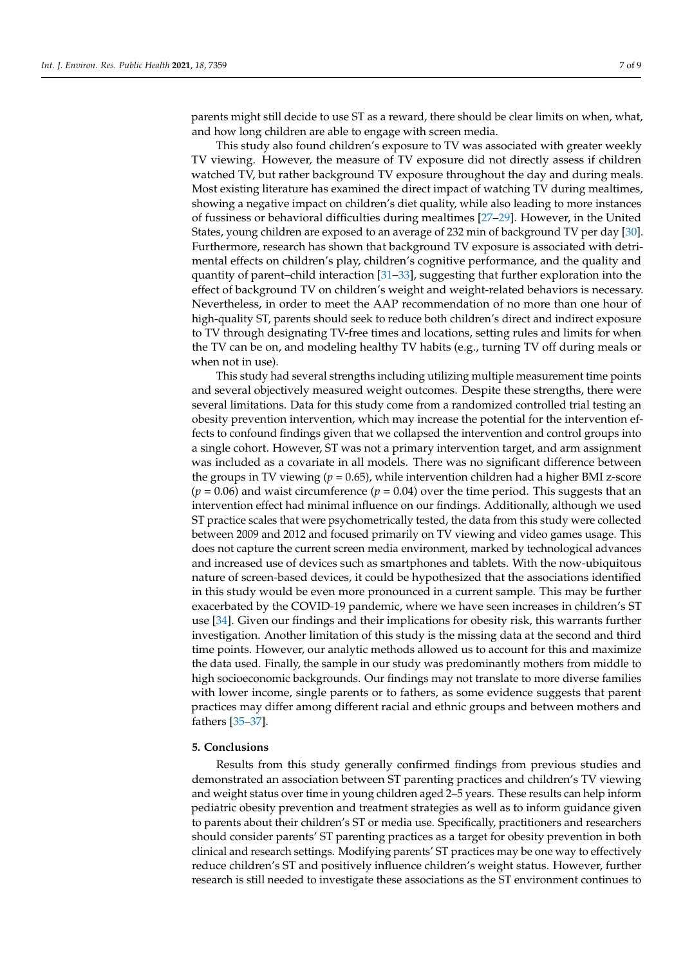parents might still decide to use ST as a reward, there should be clear limits on when, what, and how long children are able to engage with screen media.

This study also found children's exposure to TV was associated with greater weekly TV viewing. However, the measure of TV exposure did not directly assess if children watched TV, but rather background TV exposure throughout the day and during meals. Most existing literature has examined the direct impact of watching TV during mealtimes, showing a negative impact on children's diet quality, while also leading to more instances of fussiness or behavioral difficulties during mealtimes [\[27–](#page-8-13)[29\]](#page-8-14). However, in the United States, young children are exposed to an average of 232 min of background TV per day [\[30\]](#page-8-15). Furthermore, research has shown that background TV exposure is associated with detrimental effects on children's play, children's cognitive performance, and the quality and quantity of parent–child interaction [\[31](#page-8-16)[–33\]](#page-8-17), suggesting that further exploration into the effect of background TV on children's weight and weight-related behaviors is necessary. Nevertheless, in order to meet the AAP recommendation of no more than one hour of high-quality ST, parents should seek to reduce both children's direct and indirect exposure to TV through designating TV-free times and locations, setting rules and limits for when the TV can be on, and modeling healthy TV habits (e.g., turning TV off during meals or when not in use).

This study had several strengths including utilizing multiple measurement time points and several objectively measured weight outcomes. Despite these strengths, there were several limitations. Data for this study come from a randomized controlled trial testing an obesity prevention intervention, which may increase the potential for the intervention effects to confound findings given that we collapsed the intervention and control groups into a single cohort. However, ST was not a primary intervention target, and arm assignment was included as a covariate in all models. There was no significant difference between the groups in TV viewing (*p* = 0.65), while intervention children had a higher BMI z-score  $(p = 0.06)$  and waist circumference  $(p = 0.04)$  over the time period. This suggests that an intervention effect had minimal influence on our findings. Additionally, although we used ST practice scales that were psychometrically tested, the data from this study were collected between 2009 and 2012 and focused primarily on TV viewing and video games usage. This does not capture the current screen media environment, marked by technological advances and increased use of devices such as smartphones and tablets. With the now-ubiquitous nature of screen-based devices, it could be hypothesized that the associations identified in this study would be even more pronounced in a current sample. This may be further exacerbated by the COVID-19 pandemic, where we have seen increases in children's ST use [\[34\]](#page-8-18). Given our findings and their implications for obesity risk, this warrants further investigation. Another limitation of this study is the missing data at the second and third time points. However, our analytic methods allowed us to account for this and maximize the data used. Finally, the sample in our study was predominantly mothers from middle to high socioeconomic backgrounds. Our findings may not translate to more diverse families with lower income, single parents or to fathers, as some evidence suggests that parent practices may differ among different racial and ethnic groups and between mothers and fathers [\[35](#page-8-19)[–37\]](#page-8-20).

## **5. Conclusions**

Results from this study generally confirmed findings from previous studies and demonstrated an association between ST parenting practices and children's TV viewing and weight status over time in young children aged 2–5 years. These results can help inform pediatric obesity prevention and treatment strategies as well as to inform guidance given to parents about their children's ST or media use. Specifically, practitioners and researchers should consider parents' ST parenting practices as a target for obesity prevention in both clinical and research settings. Modifying parents' ST practices may be one way to effectively reduce children's ST and positively influence children's weight status. However, further research is still needed to investigate these associations as the ST environment continues to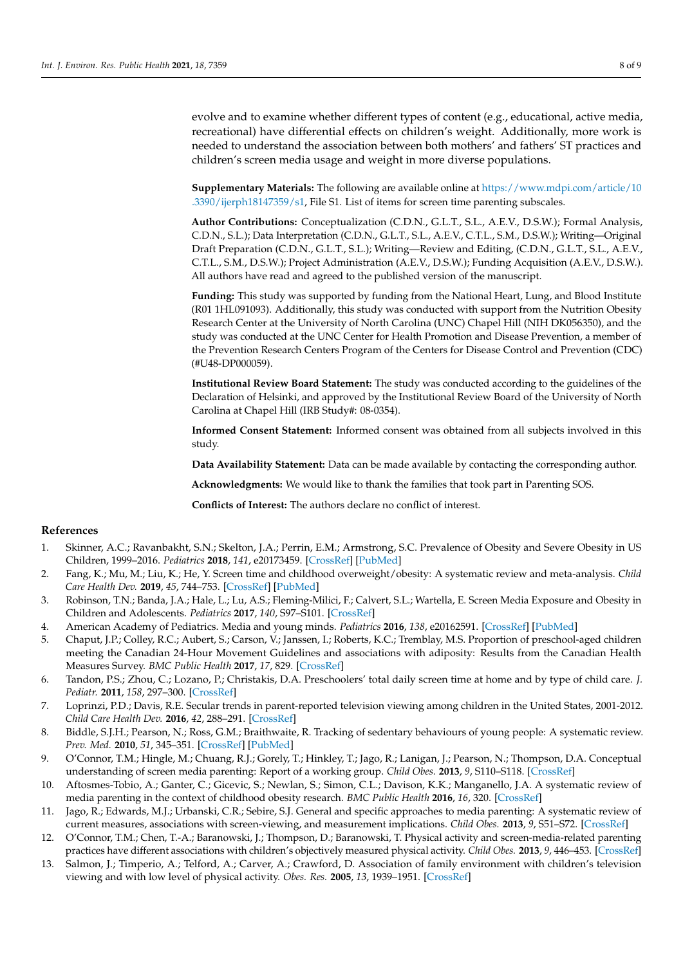evolve and to examine whether different types of content (e.g., educational, active media, recreational) have differential effects on children's weight. Additionally, more work is needed to understand the association between both mothers' and fathers' ST practices and children's screen media usage and weight in more diverse populations.

**Supplementary Materials:** The following are available online at [https://www.mdpi.com/article/10](https://www.mdpi.com/article/10.3390/ijerph18147359/s1) [.3390/ijerph18147359/s1,](https://www.mdpi.com/article/10.3390/ijerph18147359/s1) File S1. List of items for screen time parenting subscales.

**Author Contributions:** Conceptualization (C.D.N., G.L.T., S.L., A.E.V., D.S.W.); Formal Analysis, C.D.N., S.L.); Data Interpretation (C.D.N., G.L.T., S.L., A.E.V., C.T.L., S.M., D.S.W.); Writing—Original Draft Preparation (C.D.N., G.L.T., S.L.); Writing—Review and Editing, (C.D.N., G.L.T., S.L., A.E.V., C.T.L., S.M., D.S.W.); Project Administration (A.E.V., D.S.W.); Funding Acquisition (A.E.V., D.S.W.). All authors have read and agreed to the published version of the manuscript.

**Funding:** This study was supported by funding from the National Heart, Lung, and Blood Institute (R01 1HL091093). Additionally, this study was conducted with support from the Nutrition Obesity Research Center at the University of North Carolina (UNC) Chapel Hill (NIH DK056350), and the study was conducted at the UNC Center for Health Promotion and Disease Prevention, a member of the Prevention Research Centers Program of the Centers for Disease Control and Prevention (CDC) (#U48-DP000059).

**Institutional Review Board Statement:** The study was conducted according to the guidelines of the Declaration of Helsinki, and approved by the Institutional Review Board of the University of North Carolina at Chapel Hill (IRB Study#: 08-0354).

**Informed Consent Statement:** Informed consent was obtained from all subjects involved in this study.

**Data Availability Statement:** Data can be made available by contacting the corresponding author.

**Acknowledgments:** We would like to thank the families that took part in Parenting SOS.

**Conflicts of Interest:** The authors declare no conflict of interest.

## **References**

- <span id="page-7-0"></span>1. Skinner, A.C.; Ravanbakht, S.N.; Skelton, J.A.; Perrin, E.M.; Armstrong, S.C. Prevalence of Obesity and Severe Obesity in US Children, 1999–2016. *Pediatrics* **2018**, *141*, e20173459. [\[CrossRef\]](http://doi.org/10.1542/peds.2017-3459) [\[PubMed\]](http://www.ncbi.nlm.nih.gov/pubmed/29483202)
- <span id="page-7-1"></span>2. Fang, K.; Mu, M.; Liu, K.; He, Y. Screen time and childhood overweight/obesity: A systematic review and meta-analysis. *Child Care Health Dev.* **2019**, *45*, 744–753. [\[CrossRef\]](http://doi.org/10.1111/cch.12701) [\[PubMed\]](http://www.ncbi.nlm.nih.gov/pubmed/31270831)
- <span id="page-7-2"></span>3. Robinson, T.N.; Banda, J.A.; Hale, L.; Lu, A.S.; Fleming-Milici, F.; Calvert, S.L.; Wartella, E. Screen Media Exposure and Obesity in Children and Adolescents. *Pediatrics* **2017**, *140*, S97–S101. [\[CrossRef\]](http://doi.org/10.1542/peds.2016-1758K)
- <span id="page-7-3"></span>4. American Academy of Pediatrics. Media and young minds. *Pediatrics* **2016**, *138*, e20162591. [\[CrossRef\]](http://doi.org/10.1542/peds.2016-2591) [\[PubMed\]](http://www.ncbi.nlm.nih.gov/pubmed/27940793)
- <span id="page-7-4"></span>5. Chaput, J.P.; Colley, R.C.; Aubert, S.; Carson, V.; Janssen, I.; Roberts, K.C.; Tremblay, M.S. Proportion of preschool-aged children meeting the Canadian 24-Hour Movement Guidelines and associations with adiposity: Results from the Canadian Health Measures Survey. *BMC Public Health* **2017**, *17*, 829. [\[CrossRef\]](http://doi.org/10.1186/s12889-017-4854-y)
- 6. Tandon, P.S.; Zhou, C.; Lozano, P.; Christakis, D.A. Preschoolers' total daily screen time at home and by type of child care. *J. Pediatr.* **2011**, *158*, 297–300. [\[CrossRef\]](http://doi.org/10.1016/j.jpeds.2010.08.005)
- <span id="page-7-5"></span>7. Loprinzi, P.D.; Davis, R.E. Secular trends in parent-reported television viewing among children in the United States, 2001-2012. *Child Care Health Dev.* **2016**, *42*, 288–291. [\[CrossRef\]](http://doi.org/10.1111/cch.12304)
- <span id="page-7-6"></span>8. Biddle, S.J.H.; Pearson, N.; Ross, G.M.; Braithwaite, R. Tracking of sedentary behaviours of young people: A systematic review. *Prev. Med.* **2010**, *51*, 345–351. [\[CrossRef\]](http://doi.org/10.1016/j.ypmed.2010.07.018) [\[PubMed\]](http://www.ncbi.nlm.nih.gov/pubmed/20682330)
- <span id="page-7-7"></span>9. O'Connor, T.M.; Hingle, M.; Chuang, R.J.; Gorely, T.; Hinkley, T.; Jago, R.; Lanigan, J.; Pearson, N.; Thompson, D.A. Conceptual understanding of screen media parenting: Report of a working group. *Child Obes.* **2013**, *9*, S110–S118. [\[CrossRef\]](http://doi.org/10.1089/chi.2013.0025)
- <span id="page-7-8"></span>10. Aftosmes-Tobio, A.; Ganter, C.; Gicevic, S.; Newlan, S.; Simon, C.L.; Davison, K.K.; Manganello, J.A. A systematic review of media parenting in the context of childhood obesity research. *BMC Public Health* **2016**, *16*, 320. [\[CrossRef\]](http://doi.org/10.1186/s12889-016-2981-5)
- <span id="page-7-9"></span>11. Jago, R.; Edwards, M.J.; Urbanski, C.R.; Sebire, S.J. General and specific approaches to media parenting: A systematic review of current measures, associations with screen-viewing, and measurement implications. *Child Obes.* **2013**, *9*, S51–S72. [\[CrossRef\]](http://doi.org/10.1089/chi.2013.0031)
- <span id="page-7-10"></span>12. O'Connor, T.M.; Chen, T.-A.; Baranowski, J.; Thompson, D.; Baranowski, T. Physical activity and screen-media-related parenting practices have different associations with children's objectively measured physical activity. *Child Obes.* **2013**, *9*, 446–453. [\[CrossRef\]](http://doi.org/10.1089/chi.2012.0131)
- <span id="page-7-11"></span>13. Salmon, J.; Timperio, A.; Telford, A.; Carver, A.; Crawford, D. Association of family environment with children's television viewing and with low level of physical activity. *Obes. Res.* **2005**, *13*, 1939–1951. [\[CrossRef\]](http://doi.org/10.1038/oby.2005.239)